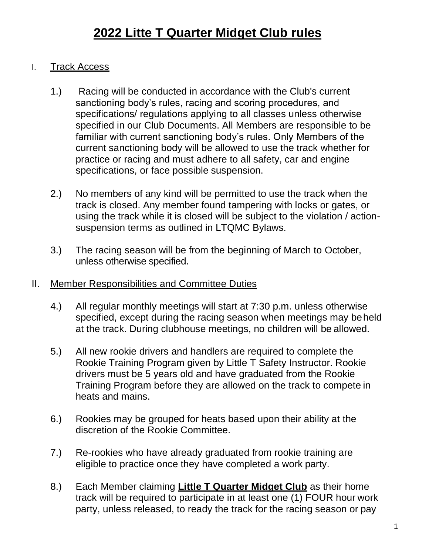- I. Track Access
	- 1.) Racing will be conducted in accordance with the Club's current sanctioning body's rules, racing and scoring procedures, and specifications/ regulations applying to all classes unless otherwise specified in our Club Documents. All Members are responsible to be familiar with current sanctioning body's rules. Only Members of the current sanctioning body will be allowed to use the track whether for practice or racing and must adhere to all safety, car and engine specifications, or face possible suspension.
	- 2.) No members of any kind will be permitted to use the track when the track is closed. Any member found tampering with locks or gates, or using the track while it is closed will be subject to the violation / actionsuspension terms as outlined in LTQMC Bylaws.
	- 3.) The racing season will be from the beginning of March to October, unless otherwise specified.
- II. Member Responsibilities and Committee Duties
	- 4.) All regular monthly meetings will start at 7:30 p.m. unless otherwise specified, except during the racing season when meetings may beheld at the track. During clubhouse meetings, no children will be allowed.
	- 5.) All new rookie drivers and handlers are required to complete the Rookie Training Program given by Little T Safety Instructor. Rookie drivers must be 5 years old and have graduated from the Rookie Training Program before they are allowed on the track to compete in heats and mains.
	- 6.) Rookies may be grouped for heats based upon their ability at the discretion of the Rookie Committee.
	- 7.) Re-rookies who have already graduated from rookie training are eligible to practice once they have completed a work party.
	- 8.) Each Member claiming **Little T Quarter Midget Club** as their home track will be required to participate in at least one (1) FOUR hour work party, unless released, to ready the track for the racing season or pay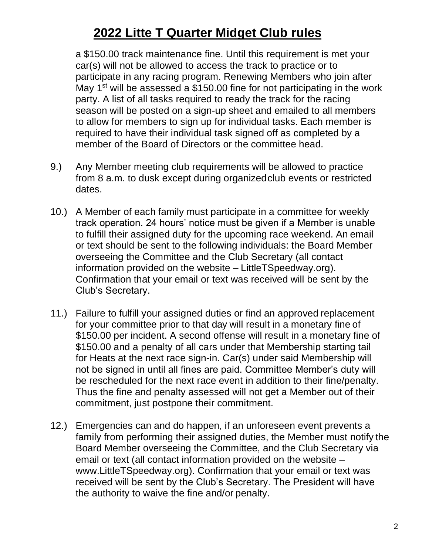a \$150.00 track maintenance fine. Until this requirement is met your car(s) will not be allowed to access the track to practice or to participate in any racing program. Renewing Members who join after May  $1<sup>st</sup>$  will be assessed a \$150.00 fine for not participating in the work party. A list of all tasks required to ready the track for the racing season will be posted on a sign-up sheet and emailed to all members to allow for members to sign up for individual tasks. Each member is required to have their individual task signed off as completed by a member of the Board of Directors or the committee head.

- 9.) Any Member meeting club requirements will be allowed to practice from 8 a.m. to dusk except during organizedclub events or restricted dates.
- 10.) A Member of each family must participate in a committee for weekly track operation. 24 hours' notice must be given if a Member is unable to fulfill their assigned duty for the upcoming race weekend. An email or text should be sent to the following individuals: the Board Member overseeing the Committee and the Club Secretary (all contact information provided on the website – LittleTSpeedway.org). Confirmation that your email or text was received will be sent by the Club's Secretary.
- 11.) Failure to fulfill your assigned duties or find an approved replacement for your committee prior to that day will result in a monetary fine of \$150.00 per incident. A second offense will result in a monetary fine of \$150.00 and a penalty of all cars under that Membership starting tail for Heats at the next race sign-in. Car(s) under said Membership will not be signed in until all fines are paid. Committee Member's duty will be rescheduled for the next race event in addition to their fine/penalty. Thus the fine and penalty assessed will not get a Member out of their commitment, just postpone their commitment.
- 12.) Emergencies can and do happen, if an unforeseen event prevents a family from performing their assigned duties, the Member must notify the Board Member overseeing the Committee, and the Club Secretary via email or text (all contact information provided on the website – www.LittleTSpeedway.org). Confirmation that your email or text was received will be sent by the Club's Secretary. The President will have the authority to waive the fine and/or penalty.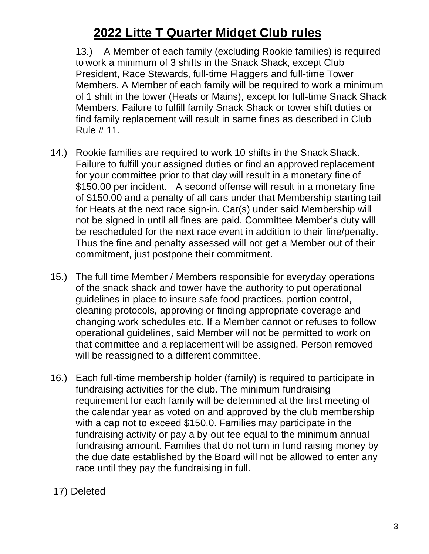13.) A Member of each family (excluding Rookie families) is required to work a minimum of 3 shifts in the Snack Shack, except Club President, Race Stewards, full-time Flaggers and full-time Tower Members. A Member of each family will be required to work a minimum of 1 shift in the tower (Heats or Mains), except for full-time Snack Shack Members. Failure to fulfill family Snack Shack or tower shift duties or find family replacement will result in same fines as described in Club Rule # 11.

- 14.) Rookie families are required to work 10 shifts in the Snack Shack. Failure to fulfill your assigned duties or find an approved replacement for your committee prior to that day will result in a monetary fine of \$150.00 per incident. A second offense will result in a monetary fine of \$150.00 and a penalty of all cars under that Membership starting tail for Heats at the next race sign-in. Car(s) under said Membership will not be signed in until all fines are paid. Committee Member's duty will be rescheduled for the next race event in addition to their fine/penalty. Thus the fine and penalty assessed will not get a Member out of their commitment, just postpone their commitment.
- 15.) The full time Member / Members responsible for everyday operations of the snack shack and tower have the authority to put operational guidelines in place to insure safe food practices, portion control, cleaning protocols, approving or finding appropriate coverage and changing work schedules etc. If a Member cannot or refuses to follow operational guidelines, said Member will not be permitted to work on that committee and a replacement will be assigned. Person removed will be reassigned to a different committee.
- 16.) Each full-time membership holder (family) is required to participate in fundraising activities for the club. The minimum fundraising requirement for each family will be determined at the first meeting of the calendar year as voted on and approved by the club membership with a cap not to exceed \$150.0. Families may participate in the fundraising activity or pay a by-out fee equal to the minimum annual fundraising amount. Families that do not turn in fund raising money by the due date established by the Board will not be allowed to enter any race until they pay the fundraising in full.

#### 17) Deleted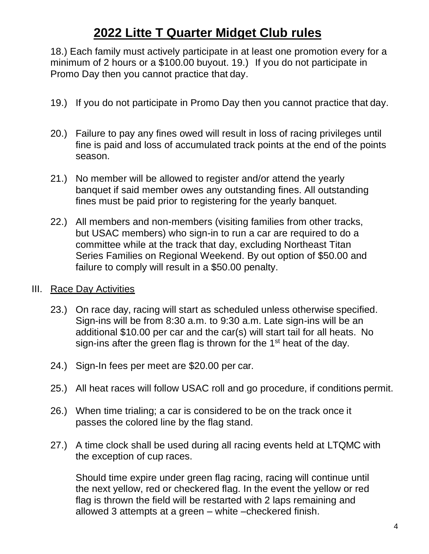18.) Each family must actively participate in at least one promotion every for a minimum of 2 hours or a \$100.00 buyout. 19.) If you do not participate in Promo Day then you cannot practice that day.

- 19.) If you do not participate in Promo Day then you cannot practice that day.
- 20.) Failure to pay any fines owed will result in loss of racing privileges until fine is paid and loss of accumulated track points at the end of the points season.
- 21.) No member will be allowed to register and/or attend the yearly banquet if said member owes any outstanding fines. All outstanding fines must be paid prior to registering for the yearly banquet.
- 22.) All members and non-members (visiting families from other tracks, but USAC members) who sign-in to run a car are required to do a committee while at the track that day, excluding Northeast Titan Series Families on Regional Weekend. By out option of \$50.00 and failure to comply will result in a \$50.00 penalty.
- III. Race Day Activities
	- 23.) On race day, racing will start as scheduled unless otherwise specified. Sign-ins will be from 8:30 a.m. to 9:30 a.m. Late sign-ins will be an additional \$10.00 per car and the car(s) will start tail for all heats. No sign-ins after the green flag is thrown for the  $1<sup>st</sup>$  heat of the day.
	- 24.) Sign-In fees per meet are \$20.00 per car.
	- 25.) All heat races will follow USAC roll and go procedure, if conditions permit.
	- 26.) When time trialing; a car is considered to be on the track once it passes the colored line by the flag stand.
	- 27.) A time clock shall be used during all racing events held at LTQMC with the exception of cup races.

Should time expire under green flag racing, racing will continue until the next yellow, red or checkered flag. In the event the yellow or red flag is thrown the field will be restarted with 2 laps remaining and allowed 3 attempts at a green – white –checkered finish.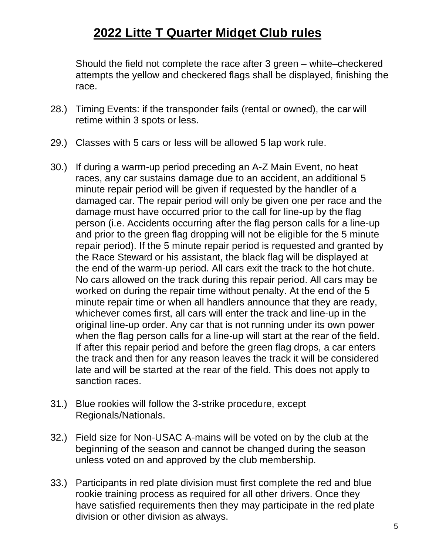Should the field not complete the race after 3 green – white–checkered attempts the yellow and checkered flags shall be displayed, finishing the race.

- 28.) Timing Events: if the transponder fails (rental or owned), the car will retime within 3 spots or less.
- 29.) Classes with 5 cars or less will be allowed 5 lap work rule.
- 30.) If during a warm-up period preceding an A-Z Main Event, no heat races, any car sustains damage due to an accident, an additional 5 minute repair period will be given if requested by the handler of a damaged car. The repair period will only be given one per race and the damage must have occurred prior to the call for line-up by the flag person (i.e. Accidents occurring after the flag person calls for a line-up and prior to the green flag dropping will not be eligible for the 5 minute repair period). If the 5 minute repair period is requested and granted by the Race Steward or his assistant, the black flag will be displayed at the end of the warm-up period. All cars exit the track to the hot chute. No cars allowed on the track during this repair period. All cars may be worked on during the repair time without penalty. At the end of the 5 minute repair time or when all handlers announce that they are ready, whichever comes first, all cars will enter the track and line-up in the original line-up order. Any car that is not running under its own power when the flag person calls for a line-up will start at the rear of the field. If after this repair period and before the green flag drops, a car enters the track and then for any reason leaves the track it will be considered late and will be started at the rear of the field. This does not apply to sanction races.
- 31.) Blue rookies will follow the 3-strike procedure, except Regionals/Nationals.
- 32.) Field size for Non-USAC A-mains will be voted on by the club at the beginning of the season and cannot be changed during the season unless voted on and approved by the club membership.
- 33.) Participants in red plate division must first complete the red and blue rookie training process as required for all other drivers. Once they have satisfied requirements then they may participate in the red plate division or other division as always.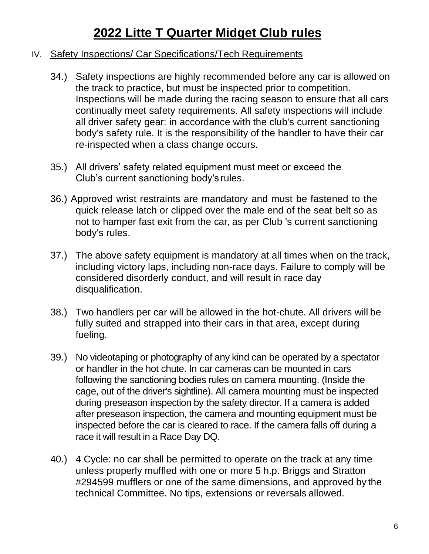#### IV. Safety Inspections/ Car Specifications/Tech Requirements

- 34.) Safety inspections are highly recommended before any car is allowed on the track to practice, but must be inspected prior to competition. Inspections will be made during the racing season to ensure that all cars continually meet safety requirements. All safety inspections will include all driver safety gear: in accordance with the club's current sanctioning body's safety rule. It is the responsibility of the handler to have their car re-inspected when a class change occurs.
- 35.) All drivers' safety related equipment must meet or exceed the Club's current sanctioning body's rules.
- 36.) Approved wrist restraints are mandatory and must be fastened to the quick release latch or clipped over the male end of the seat belt so as not to hamper fast exit from the car, as per Club 's current sanctioning body's rules.
- 37.) The above safety equipment is mandatory at all times when on the track, including victory laps, including non-race days. Failure to comply will be considered disorderly conduct, and will result in race day disqualification.
- 38.) Two handlers per car will be allowed in the hot-chute. All drivers will be fully suited and strapped into their cars in that area, except during fueling.
- 39.) No videotaping or photography of any kind can be operated by a spectator or handler in the hot chute. In car cameras can be mounted in cars following the sanctioning bodies rules on camera mounting. (Inside the cage, out of the driver's sightline). All camera mounting must be inspected during preseason inspection by the safety director. If a camera is added after preseason inspection, the camera and mounting equipment must be inspected before the car is cleared to race. If the camera falls off during a race it will result in a Race Day DQ.
- 40.) 4 Cycle: no car shall be permitted to operate on the track at any time unless properly muffled with one or more 5 h.p. Briggs and Stratton #294599 mufflers or one of the same dimensions, and approved by the technical Committee. No tips, extensions or reversals allowed.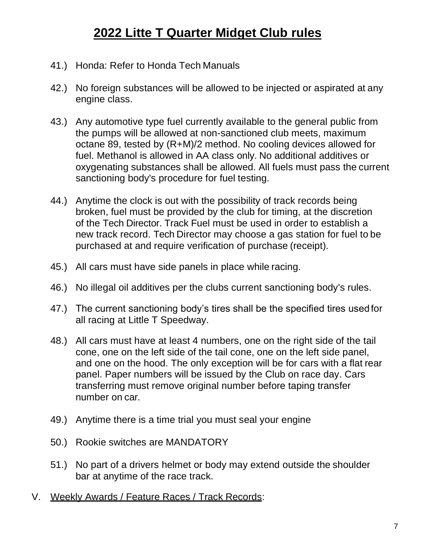- 41.) Honda: Refer to Honda Tech Manuals
- 42.) No foreign substances will be allowed to be injected or aspirated at any engine class.
- 43.) Any automotive type fuel currently available to the general public from the pumps will be allowed at non-sanctioned club meets, maximum octane 89, tested by (R+M)/2 method. No cooling devices allowed for fuel. Methanol is allowed in AA class only. No additional additives or oxygenating substances shall be allowed. All fuels must pass the current sanctioning body's procedure for fuel testing.
- 44.) Anytime the clock is out with the possibility of track records being broken, fuel must be provided by the club for timing, at the discretion of the Tech Director. Track Fuel must be used in order to establish a new track record. Tech Director may choose a gas station for fuel to be purchased at and require verification of purchase (receipt).
- 45.) All cars must have side panels in place while racing.
- 46.) No illegal oil additives per the clubs current sanctioning body's rules.
- 47.) The current sanctioning body's tires shall be the specified tires usedfor all racing at Little T Speedway.
- 48.) All cars must have at least 4 numbers, one on the right side of the tail cone, one on the left side of the tail cone, one on the left side panel, and one on the hood. The only exception will be for cars with a flat rear panel. Paper numbers will be issued by the Club on race day. Cars transferring must remove original number before taping transfer number on car.
- 49.) Anytime there is a time trial you must seal your engine
- 50.) Rookie switches are MANDATORY
- 51.) No part of a drivers helmet or body may extend outside the shoulder bar at anytime of the race track.
- V. Weekly Awards / Feature Races / Track Records: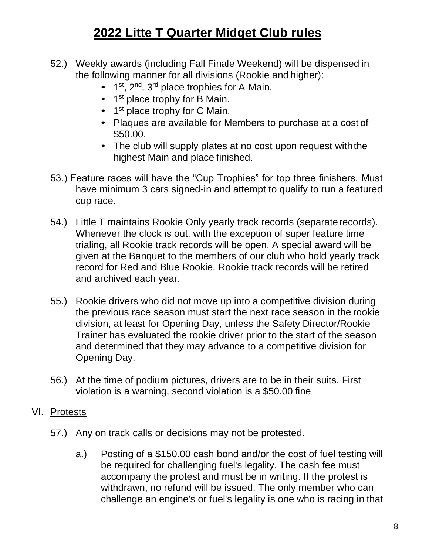- 52.) Weekly awards (including Fall Finale Weekend) will be dispensed in the following manner for all divisions (Rookie and higher):
	- $\bullet$  1<sup>st</sup>, 2<sup>nd</sup>, 3<sup>rd</sup> place trophies for A-Main.
	- 1<sup>st</sup> place trophy for B Main.
	- 1<sup>st</sup> place trophy for C Main.
	- Plaques are available for Members to purchase at a cost of \$50.00.
	- The club will supply plates at no cost upon request with the highest Main and place finished.
- 53.) Feature races will have the "Cup Trophies" for top three finishers. Must have minimum 3 cars signed-in and attempt to qualify to run a featured cup race.
- 54.) Little T maintains Rookie Only yearly track records (separaterecords). Whenever the clock is out, with the exception of super feature time trialing, all Rookie track records will be open. A special award will be given at the Banquet to the members of our club who hold yearly track record for Red and Blue Rookie. Rookie track records will be retired and archived each year.
- 55.) Rookie drivers who did not move up into a competitive division during the previous race season must start the next race season in the rookie division, at least for Opening Day, unless the Safety Director/Rookie Trainer has evaluated the rookie driver prior to the start of the season and determined that they may advance to a competitive division for Opening Day.
- 56.) At the time of podium pictures, drivers are to be in their suits. First violation is a warning, second violation is a \$50.00 fine

#### VI. Protests

- 57.) Any on track calls or decisions may not be protested.
	- a.) Posting of a \$150.00 cash bond and/or the cost of fuel testing will be required for challenging fuel's legality. The cash fee must accompany the protest and must be in writing. If the protest is withdrawn, no refund will be issued. The only member who can challenge an engine's or fuel's legality is one who is racing in that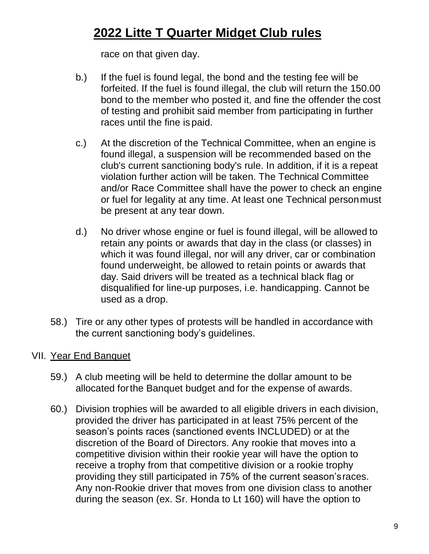race on that given day.

- b.) If the fuel is found legal, the bond and the testing fee will be forfeited. If the fuel is found illegal, the club will return the 150.00 bond to the member who posted it, and fine the offender the cost of testing and prohibit said member from participating in further races until the fine is paid.
- c.) At the discretion of the Technical Committee, when an engine is found illegal, a suspension will be recommended based on the club's current sanctioning body's rule. In addition, if it is a repeat violation further action will be taken. The Technical Committee and/or Race Committee shall have the power to check an engine or fuel for legality at any time. At least one Technical personmust be present at any tear down.
- d.) No driver whose engine or fuel is found illegal, will be allowed to retain any points or awards that day in the class (or classes) in which it was found illegal, nor will any driver, car or combination found underweight, be allowed to retain points or awards that day. Said drivers will be treated as a technical black flag or disqualified for line-up purposes, i.e. handicapping. Cannot be used as a drop.
- 58.) Tire or any other types of protests will be handled in accordance with the current sanctioning body's guidelines.

#### VII. Year End Banquet

- 59.) A club meeting will be held to determine the dollar amount to be allocated forthe Banquet budget and for the expense of awards.
- 60.) Division trophies will be awarded to all eligible drivers in each division, provided the driver has participated in at least 75% percent of the season's points races (sanctioned events INCLUDED) or at the discretion of the Board of Directors. Any rookie that moves into a competitive division within their rookie year will have the option to receive a trophy from that competitive division or a rookie trophy providing they still participated in 75% of the current season'sraces. Any non-Rookie driver that moves from one division class to another during the season (ex. Sr. Honda to Lt 160) will have the option to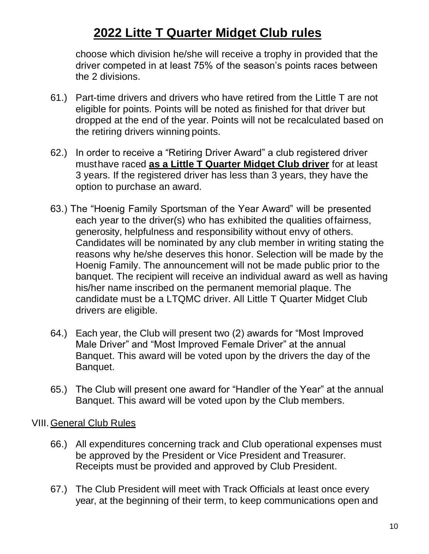choose which division he/she will receive a trophy in provided that the driver competed in at least 75% of the season's points races between the 2 divisions.

- 61.) Part-time drivers and drivers who have retired from the Little T are not eligible for points. Points will be noted as finished for that driver but dropped at the end of the year. Points will not be recalculated based on the retiring drivers winning points.
- 62.) In order to receive a "Retiring Driver Award" a club registered driver musthave raced **as a Little T Quarter Midget Club driver** for at least 3 years. If the registered driver has less than 3 years, they have the option to purchase an award.
- 63.) The "Hoenig Family Sportsman of the Year Award" will be presented each year to the driver(s) who has exhibited the qualities offairness, generosity, helpfulness and responsibility without envy of others. Candidates will be nominated by any club member in writing stating the reasons why he/she deserves this honor. Selection will be made by the Hoenig Family. The announcement will not be made public prior to the banquet. The recipient will receive an individual award as well as having his/her name inscribed on the permanent memorial plaque. The candidate must be a LTQMC driver. All Little T Quarter Midget Club drivers are eligible.
- 64.) Each year, the Club will present two (2) awards for "Most Improved Male Driver" and "Most Improved Female Driver" at the annual Banquet. This award will be voted upon by the drivers the day of the Banquet.
- 65.) The Club will present one award for "Handler of the Year" at the annual Banquet. This award will be voted upon by the Club members.

#### VIII.General Club Rules

- 66.) All expenditures concerning track and Club operational expenses must be approved by the President or Vice President and Treasurer. Receipts must be provided and approved by Club President.
- 67.) The Club President will meet with Track Officials at least once every year, at the beginning of their term, to keep communications open and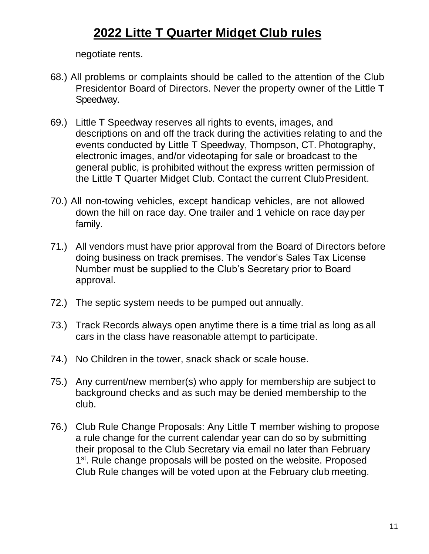negotiate rents.

- 68.) All problems or complaints should be called to the attention of the Club Presidentor Board of Directors. Never the property owner of the Little T Speedway.
- 69.) Little T Speedway reserves all rights to events, images, and descriptions on and off the track during the activities relating to and the events conducted by Little T Speedway, Thompson, CT. Photography, electronic images, and/or videotaping for sale or broadcast to the general public, is prohibited without the express written permission of the Little T Quarter Midget Club. Contact the current ClubPresident.
- 70.) All non-towing vehicles, except handicap vehicles, are not allowed down the hill on race day. One trailer and 1 vehicle on race day per family.
- 71.) All vendors must have prior approval from the Board of Directors before doing business on track premises. The vendor's Sales Tax License Number must be supplied to the Club's Secretary prior to Board approval.
- 72.) The septic system needs to be pumped out annually.
- 73.) Track Records always open anytime there is a time trial as long as all cars in the class have reasonable attempt to participate.
- 74.) No Children in the tower, snack shack or scale house.
- 75.) Any current/new member(s) who apply for membership are subject to background checks and as such may be denied membership to the club.
- 76.) Club Rule Change Proposals: Any Little T member wishing to propose a rule change for the current calendar year can do so by submitting their proposal to the Club Secretary via email no later than February 1<sup>st</sup>. Rule change proposals will be posted on the website. Proposed Club Rule changes will be voted upon at the February club meeting.